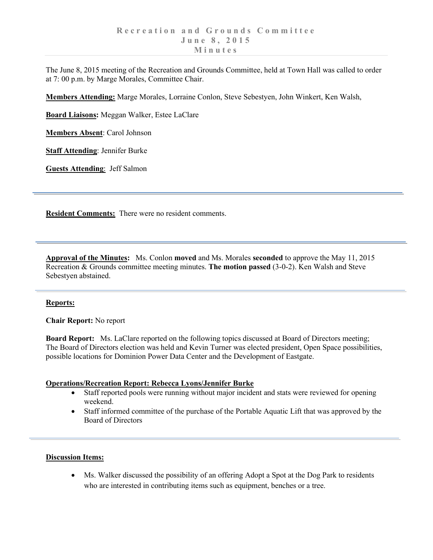The June 8, 2015 meeting of the Recreation and Grounds Committee, held at Town Hall was called to order at 7: 00 p.m. by Marge Morales, Committee Chair.

**Members Attending:** Marge Morales, Lorraine Conlon, Steve Sebestyen, John Winkert, Ken Walsh,

**Board Liaisons:** Meggan Walker, Estee LaClare

**Members Absent**: Carol Johnson

**Staff Attending**: Jennifer Burke

**Guests Attending**: Jeff Salmon

**Resident Comments:** There were no resident comments.

**Approval of the Minutes:** Ms. Conlon **moved** and Ms. Morales **seconded** to approve the May 11, 2015 Recreation & Grounds committee meeting minutes. **The motion passed** (3-0-2). Ken Walsh and Steve Sebestyen abstained.

## **Reports:**

**Chair Report:** No report

**Board Report:** Ms. LaClare reported on the following topics discussed at Board of Directors meeting; The Board of Directors election was held and Kevin Turner was elected president, Open Space possibilities, possible locations for Dominion Power Data Center and the Development of Eastgate.

## **Operations/Recreation Report: Rebecca Lyons/Jennifer Burke**

- Staff reported pools were running without major incident and stats were reviewed for opening weekend.
- Staff informed committee of the purchase of the Portable Aquatic Lift that was approved by the Board of Directors

## **Discussion Items:**

• Ms. Walker discussed the possibility of an offering Adopt a Spot at the Dog Park to residents who are interested in contributing items such as equipment, benches or a tree.